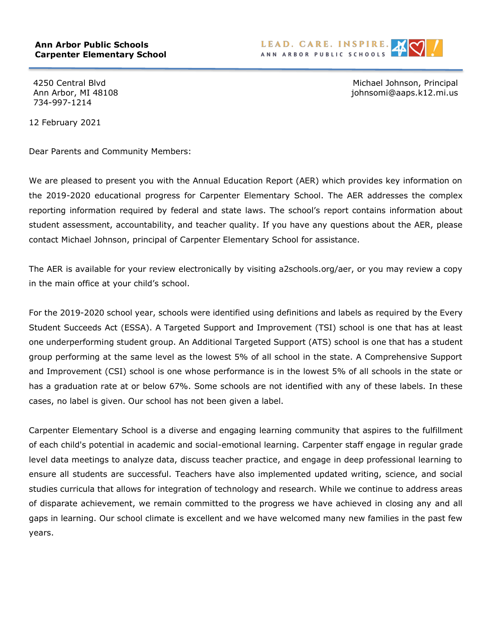

734-997-1214

4250 Central Blvd Michael Johnson, Principal Ann Arbor, MI 48108 johnsomi@aaps.k12.mi.us

12 February 2021

Dear Parents and Community Members:

We are pleased to present you with the Annual Education Report (AER) which provides key information on the 2019-2020 educational progress for Carpenter Elementary School. The AER addresses the complex reporting information required by federal and state laws. The school's report contains information about student assessment, accountability, and teacher quality. If you have any questions about the AER, please contact Michael Johnson, principal of Carpenter Elementary School for assistance.

The AER is available for your review electronically by visiting a2schools.org/aer, or you may review a copy in the main office at your child's school.

For the 2019-2020 school year, schools were identified using definitions and labels as required by the Every Student Succeeds Act (ESSA). A Targeted Support and Improvement (TSI) school is one that has at least one underperforming student group. An Additional Targeted Support (ATS) school is one that has a student group performing at the same level as the lowest 5% of all school in the state. A Comprehensive Support and Improvement (CSI) school is one whose performance is in the lowest 5% of all schools in the state or has a graduation rate at or below 67%. Some schools are not identified with any of these labels. In these cases, no label is given. Our school has not been given a label.

Carpenter Elementary School is a diverse and engaging learning community that aspires to the fulfillment of each child's potential in academic and social-emotional learning. Carpenter staff engage in regular grade level data meetings to analyze data, discuss teacher practice, and engage in deep professional learning to ensure all students are successful. Teachers have also implemented updated writing, science, and social studies curricula that allows for integration of technology and research. While we continue to address areas of disparate achievement, we remain committed to the progress we have achieved in closing any and all gaps in learning. Our school climate is excellent and we have welcomed many new families in the past few years.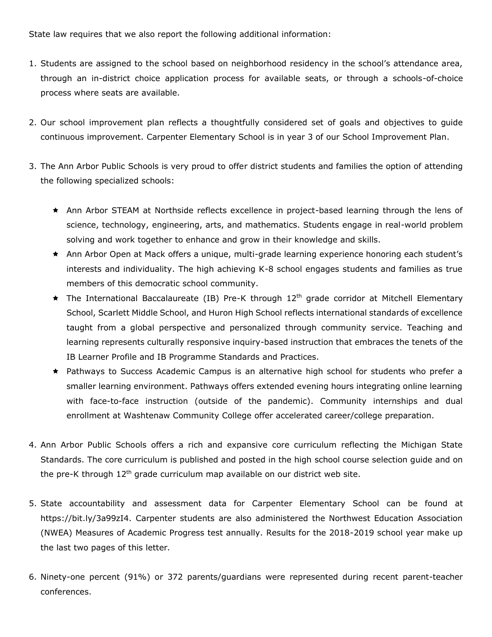State law requires that we also report the following additional information:

- 1. Students are assigned to the school based on neighborhood residency in the school's attendance area, through an in-district choice application process for available seats, or through a schools-of-choice process where seats are available.
- 2. Our school improvement plan reflects a thoughtfully considered set of goals and objectives to guide continuous improvement. Carpenter Elementary School is in year 3 of our School Improvement Plan.
- 3. The Ann Arbor Public Schools is very proud to offer district students and families the option of attending the following specialized schools:
	- \* Ann Arbor STEAM at Northside reflects excellence in project-based learning through the lens of science, technology, engineering, arts, and mathematics. Students engage in real-world problem solving and work together to enhance and grow in their knowledge and skills.
	- \* Ann Arbor Open at Mack offers a unique, multi-grade learning experience honoring each student's interests and individuality. The high achieving K-8 school engages students and families as true members of this democratic school community.
	- $\star$  The International Baccalaureate (IB) Pre-K through 12<sup>th</sup> grade corridor at Mitchell Elementary School, Scarlett Middle School, and Huron High School reflects international standards of excellence taught from a global perspective and personalized through community service. Teaching and learning represents culturally responsive inquiry-based instruction that embraces the tenets of the IB Learner Profile and IB Programme Standards and Practices.
	- \* Pathways to Success Academic Campus is an alternative high school for students who prefer a smaller learning environment. Pathways offers extended evening hours integrating online learning with face-to-face instruction (outside of the pandemic). Community internships and dual enrollment at Washtenaw Community College offer accelerated career/college preparation.
- 4. Ann Arbor Public Schools offers a rich and expansive core curriculum reflecting the Michigan State Standards. The core curriculum is published and posted in the high school course selection guide and on the pre-K through  $12<sup>th</sup>$  grade curriculum map available on our district web site.
- 5. State accountability and assessment data for Carpenter Elementary School can be found at https://bit.ly/3a99zI4. Carpenter students are also administered the Northwest Education Association (NWEA) Measures of Academic Progress test annually. Results for the 2018-2019 school year make up the last two pages of this letter.
- 6. Ninety-one percent (91%) or 372 parents/guardians were represented during recent parent-teacher conferences.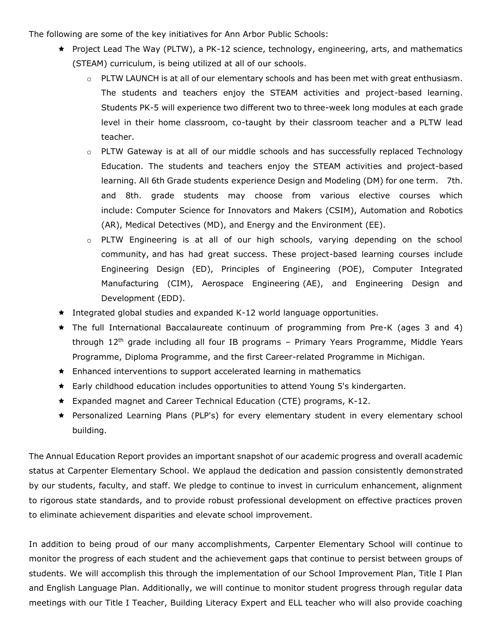The following are some of the key initiatives for Ann Arbor Public Schools:

- $\star$  Project Lead The Way (PLTW), a PK-12 science, technology, engineering, arts, and mathematics (STEAM) curriculum, is being utilized at all of our schools.
	- $\circ$  PLTW LAUNCH is at all of our elementary schools and has been met with great enthusiasm. The students and teachers enjoy the STEAM activities and project-based learning. Students PK-5 will experience two different two to three-week long modules at each grade level in their home classroom, co-taught by their classroom teacher and a PLTW lead teacher.
	- o PLTW Gateway is at all of our middle schools and has successfully replaced Technology Education. The students and teachers enjoy the STEAM activities and project-based learning. All 6th Grade students experience Design and Modeling (DM) for one term. 7th. and 8th. grade students may choose from various elective courses which include: Computer Science for Innovators and Makers (CSIM), Automation and Robotics (AR), Medical Detectives (MD), and Energy and the Environment (EE).
	- o PLTW Engineering is at all of our high schools, varying depending on the school community, and has had great success. These project-based learning courses include Engineering Design (ED), Principles of Engineering (POE), Computer Integrated Manufacturing (CIM), Aerospace Engineering (AE), and Engineering Design and Development (EDD).
- $\star$  Integrated global studies and expanded K-12 world language opportunities.
- $\star$  The full International Baccalaureate continuum of programming from Pre-K (ages 3 and 4) through  $12<sup>th</sup>$  grade including all four IB programs – Primary Years Programme, Middle Years Programme, Diploma Programme, and the first Career-related Programme in Michigan.
- $\star$  Enhanced interventions to support accelerated learning in mathematics
- $\star$  Early childhood education includes opportunities to attend Young 5's kindergarten.
- $\star$  Expanded magnet and Career Technical Education (CTE) programs, K-12.
- \* Personalized Learning Plans (PLP's) for every elementary student in every elementary school building.

The Annual Education Report provides an important snapshot of our academic progress and overall academic status at Carpenter Elementary School. We applaud the dedication and passion consistently demonstrated by our students, faculty, and staff. We pledge to continue to invest in curriculum enhancement, alignment to rigorous state standards, and to provide robust professional development on effective practices proven to eliminate achievement disparities and elevate school improvement.

In addition to being proud of our many accomplishments, Carpenter Elementary School will continue to monitor the progress of each student and the achievement gaps that continue to persist between groups of students. We will accomplish this through the implementation of our School Improvement Plan, Title I Plan and English Language Plan. Additionally, we will continue to monitor student progress through regular data meetings with our Title I Teacher, Building Literacy Expert and ELL teacher who will also provide coaching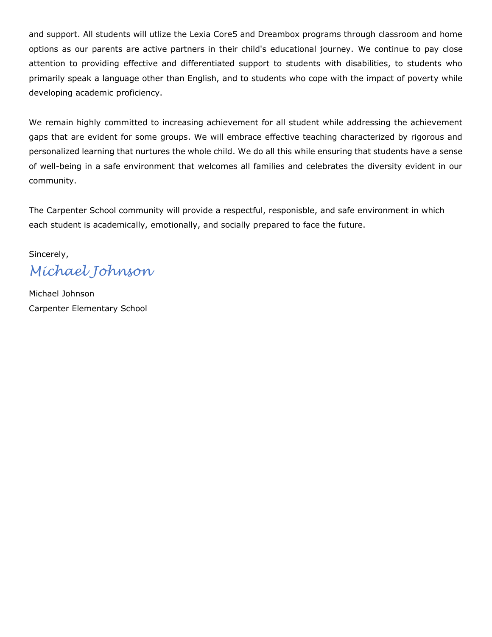and support. All students will utlize the Lexia Core5 and Dreambox programs through classroom and home options as our parents are active partners in their child's educational journey. We continue to pay close attention to providing effective and differentiated support to students with disabilities, to students who primarily speak a language other than English, and to students who cope with the impact of poverty while developing academic proficiency.

We remain highly committed to increasing achievement for all student while addressing the achievement gaps that are evident for some groups. We will embrace effective teaching characterized by rigorous and personalized learning that nurtures the whole child. We do all this while ensuring that students have a sense of well-being in a safe environment that welcomes all families and celebrates the diversity evident in our community.

The Carpenter School community will provide a respectful, responisble, and safe environment in which each student is academically, emotionally, and socially prepared to face the future.

Sincerely, *Michael Johnson*

Michael Johnson Carpenter Elementary School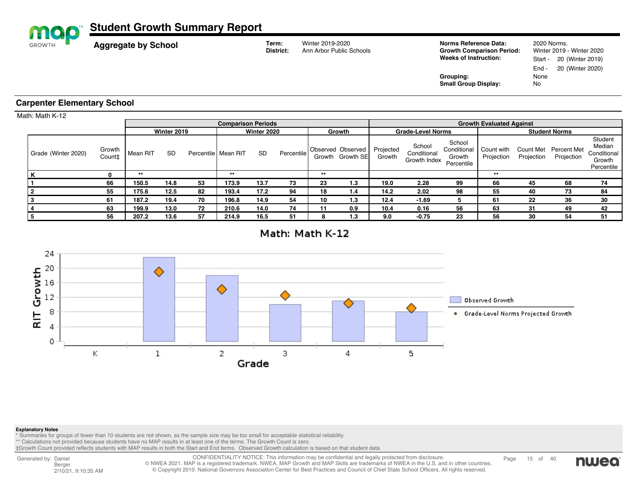| map             |                                    |                            | <b>Student Growth Summary Report</b> |           |                       |       |                           |                    |        |                                              |                          |                                       |                                                                                           |                          |                         |                                                                         |                                                          |  |
|-----------------|------------------------------------|----------------------------|--------------------------------------|-----------|-----------------------|-------|---------------------------|--------------------|--------|----------------------------------------------|--------------------------|---------------------------------------|-------------------------------------------------------------------------------------------|--------------------------|-------------------------|-------------------------------------------------------------------------|----------------------------------------------------------|--|
|                 | <b>GROWTH</b>                      | <b>Aggregate by School</b> |                                      |           |                       |       |                           | Term:<br>District: |        | Winter 2019-2020<br>Ann Arbor Public Schools |                          |                                       | Norms Reference Data:<br><b>Growth Comparison Period:</b><br><b>Weeks of Instruction:</b> |                          |                         | 2020 Norms.<br>Winter 2019 - Winter 2020<br>20 (Winter 2019)<br>Start - |                                                          |  |
|                 |                                    |                            |                                      |           |                       |       |                           |                    |        |                                              |                          |                                       | Grouping:<br><b>Small Group Display:</b>                                                  |                          | End -<br>None<br>No     | 20 (Winter 2020)                                                        |                                                          |  |
|                 | <b>Carpenter Elementary School</b> |                            |                                      |           |                       |       |                           |                    |        |                                              |                          |                                       |                                                                                           |                          |                         |                                                                         |                                                          |  |
| Math: Math K-12 |                                    |                            |                                      |           |                       |       |                           |                    |        |                                              |                          |                                       |                                                                                           |                          |                         |                                                                         |                                                          |  |
|                 |                                    |                            |                                      |           |                       |       | <b>Comparison Periods</b> |                    |        |                                              |                          | <b>Growth Evaluated Against</b>       |                                                                                           |                          |                         |                                                                         |                                                          |  |
|                 |                                    |                            |                                      |           | Winter 2019           |       |                           | Winter 2020        | Growth |                                              | <b>Grade-Level Norms</b> |                                       |                                                                                           | <b>Student Norms</b>     |                         |                                                                         |                                                          |  |
|                 | Grade (Winter 2020)                | Growth<br>Count‡           | Mean RIT                             | <b>SD</b> | Percentile   Mean RIT |       | <b>SD</b>                 | Percentile         |        | Observed Observed<br>Growth Growth SEI       | Projected<br>Growth      | School<br>Conditional<br>Growth Index | School<br>Conditional<br>Growth<br>Percentile                                             | Count with<br>Projection | Count Met<br>Projection | <b>Percent Met</b><br>Projection                                        | Student<br>Median<br>Conditional<br>Growth<br>Percentile |  |
|                 | n.                                 | 0                          | $***$                                |           |                       | $***$ |                           |                    | $***$  |                                              |                          |                                       |                                                                                           | $***$                    |                         |                                                                         |                                                          |  |
|                 |                                    | 66                         | 150.5                                | 14.8      | 53                    | 173.9 | 13.7                      | 73                 | 23     | 1.3                                          | 19.0                     | 2.28                                  | 99                                                                                        | 66                       | 45                      | 68                                                                      | 74                                                       |  |
|                 |                                    | 55                         | 175.6                                | 12.5      | 82                    | 193.4 | 17.2                      | 94                 | 18     | 1.4                                          | 14.2                     | 2.02                                  | 98                                                                                        | 55                       | 40                      | 73                                                                      | 84                                                       |  |
|                 | 3                                  | 61                         | 187.2                                | 19.4      | 70                    | 196.8 | 14.9                      | 54                 | 10     | 1.3                                          | 12.4                     | $-1.69$                               | 5                                                                                         | 61                       | 22                      | 36                                                                      | 30                                                       |  |
|                 |                                    | 63                         | 199.9                                | 13.0      | 72                    | 210.6 | 14.0                      | 74                 | 11     | 0.9                                          | 10.4                     | 0.16                                  | 56                                                                                        | 63                       | 31                      | 49                                                                      | 42                                                       |  |



**5 56 207.2 13.6 57 214.9 16.5 51 8 1.3 9.0 -0.75 23 56 30 54 51**



## **Explanatory Notes**

\* Summaries for groups of fewer than 10 students are not shown, as the sample size may be too small for acceptable statistical reliability.<br>\*\* Calculations not provided because students have no MAP results in at least one

‡Growth Count provided reflects students with MAP results in both the Start and End terms. Observed Growth calculation is based on that student data.

Generated by: Daniel Berger 2/10/21, 9:10:35 AM CONFIDENTIALITY NOTICE: This information may be confidential and legally protected from disclosure.<br>© NWEA 2021. MAP is a registered trademark. NWEA, MAP Growth and MAP Skills are trademarks of NWEA in the U.S. and in othe © Copyright 2010. National Governors Association Center for Best Practices and Council of Chief State School Officers. All rights reserved.

Page 15 of 40